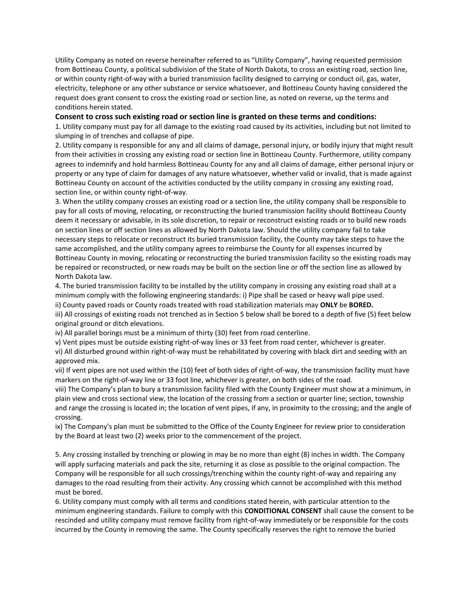Utility Company as noted on reverse hereinafter referred to as "Utility Company", having requested permission from Bottineau County, a political subdivision of the State of North Dakota, to cross an existing road, section line, or within county right-of-way with a buried transmission facility designed to carrying or conduct oil, gas, water, electricity, telephone or any other substance or service whatsoever, and Bottineau County having considered the request does grant consent to cross the existing road or section line, as noted on reverse, up the terms and conditions herein stated.

## **Consent to cross such existing road or section line is granted on these terms and conditions:**

1. Utility company must pay for all damage to the existing road caused by its activities, including but not limited to slumping in of trenches and collapse of pipe.

2. Utility company is responsible for any and all claims of damage, personal injury, or bodily injury that might result from their activities in crossing any existing road or section line in Bottineau County. Furthermore, utility company agrees to indemnify and hold harmless Bottineau County for any and all claims of damage, either personal injury or property or any type of claim for damages of any nature whatsoever, whether valid or invalid, that is made against Bottineau County on account of the activities conducted by the utility company in crossing any existing road, section line, or within county right-of-way.

3. When the utility company crosses an existing road or a section line, the utility company shall be responsible to pay for all costs of moving, relocating, or reconstructing the buried transmission facility should Bottineau County deem it necessary or advisable, in its sole discretion, to repair or reconstruct existing roads or to build new roads on section lines or off section lines as allowed by North Dakota law. Should the utility company fail to take necessary steps to relocate or reconstruct its buried transmission facility, the County may take steps to have the same accomplished, and the utility company agrees to reimburse the County for all expenses incurred by Bottineau County in moving, relocating or reconstructing the buried transmission facility so the existing roads may be repaired or reconstructed, or new roads may be built on the section line or off the section line as allowed by North Dakota law.

4. The buried transmission facility to be installed by the utility company in crossing any existing road shall at a minimum comply with the following engineering standards: i) Pipe shall be cased or heavy wall pipe used.

ii) County paved roads or County roads treated with road stabilization materials may **ONLY** be **BORED.**  iii) All crossings of existing roads not trenched as in Section 5 below shall be bored to a depth of five (5) feet below original ground or ditch elevations.

iv) All parallel borings must be a minimum of thirty (30) feet from road centerline.

v) Vent pipes must be outside existing right-of-way lines or 33 feet from road center, whichever is greater.

vi) All disturbed ground within right-of-way must be rehabilitated by covering with black dirt and seeding with an approved mix.

vii) If vent pipes are not used within the (10) feet of both sides of right-of-way, the transmission facility must have markers on the right-of-way line or 33 foot line, whichever is greater, on both sides of the road.

viii) The Company's plan to bury a transmission facility filed with the County Engineer must show at a minimum, in plain view and cross sectional view, the location of the crossing from a section or quarter line; section, township and range the crossing is located in; the location of vent pipes, if any, in proximity to the crossing; and the angle of crossing.

ix) The Company's plan must be submitted to the Office of the County Engineer for review prior to consideration by the Board at least two (2) weeks prior to the commencement of the project.

5. Any crossing installed by trenching or plowing in may be no more than eight (8) inches in width. The Company will apply surfacing materials and pack the site, returning it as close as possible to the original compaction. The Company will be responsible for all such crossings/trenching within the county right-of-way and repairing any damages to the road resulting from their activity. Any crossing which cannot be accomplished with this method must be bored.

6. Utility company must comply with all terms and conditions stated herein, with particular attention to the minimum engineering standards. Failure to comply with this **CONDITIONAL CONSENT** shall cause the consent to be rescinded and utility company must remove facility from right-of-way immediately or be responsible for the costs incurred by the County in removing the same. The County specifically reserves the right to remove the buried